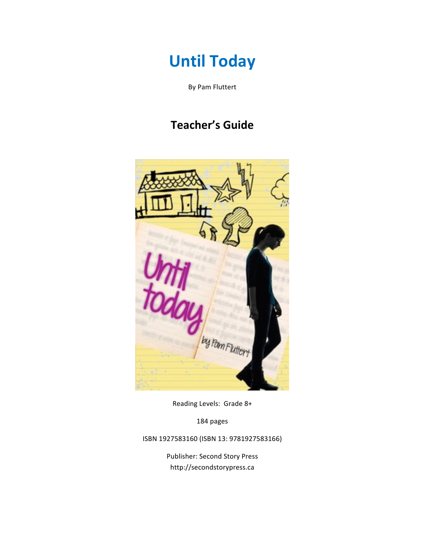# **Until Today**

By Pam Fluttert

# **Teacher's Guide**



Reading Levels: Grade 8+

184 pages

ISBN 1927583160 (ISBN 13: 9781927583166)

Publisher: Second Story Press http://secondstorypress.ca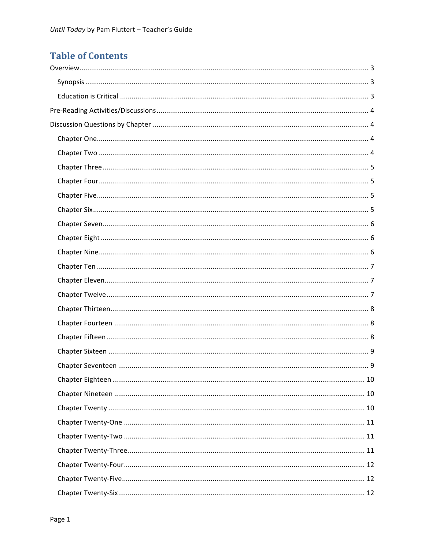# **Table of Contents**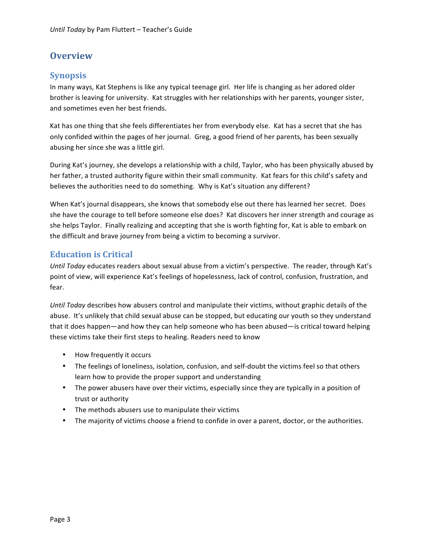# **Overview**

#### **Synopsis**

In many ways, Kat Stephens is like any typical teenage girl. Her life is changing as her adored older brother is leaving for university. Kat struggles with her relationships with her parents, younger sister, and sometimes even her best friends.

Kat has one thing that she feels differentiates her from everybody else. Kat has a secret that she has only confided within the pages of her journal. Greg, a good friend of her parents, has been sexually abusing her since she was a little girl.

During Kat's journey, she develops a relationship with a child, Taylor, who has been physically abused by her father, a trusted authority figure within their small community. Kat fears for this child's safety and believes the authorities need to do something. Why is Kat's situation any different?

When Kat's journal disappears, she knows that somebody else out there has learned her secret. Does she have the courage to tell before someone else does? Kat discovers her inner strength and courage as she helps Taylor. Finally realizing and accepting that she is worth fighting for, Kat is able to embark on the difficult and brave journey from being a victim to becoming a survivor.

#### **Education is Critical**

*Until Today* educates readers about sexual abuse from a victim's perspective. The reader, through Kat's point of view, will experience Kat's feelings of hopelessness, lack of control, confusion, frustration, and fear.

*Until Today* describes how abusers control and manipulate their victims, without graphic details of the abuse. It's unlikely that child sexual abuse can be stopped, but educating our youth so they understand that it does happen—and how they can help someone who has been abused—is critical toward helping these victims take their first steps to healing. Readers need to know

- How frequently it occurs
- The feelings of loneliness, isolation, confusion, and self-doubt the victims feel so that others learn how to provide the proper support and understanding
- The power abusers have over their victims, especially since they are typically in a position of trust or authority
- The methods abusers use to manipulate their victims
- The majority of victims choose a friend to confide in over a parent, doctor, or the authorities.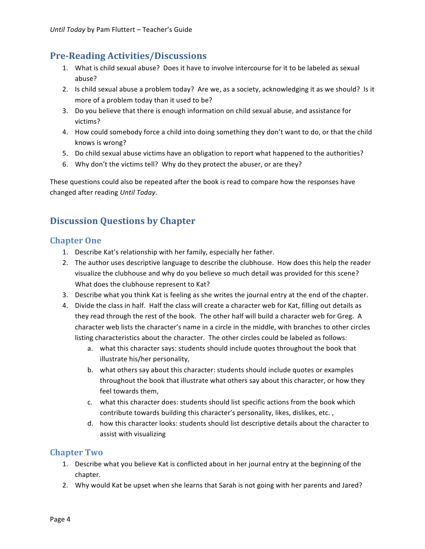### **Pre:Reading&Activities/Discussions**

- 1. What is child sexual abuse? Does it have to involve intercourse for it to be labeled as sexual abuse?
- 2. Is child sexual abuse a problem today? Are we, as a society, acknowledging it as we should? Is it more of a problem today than it used to be?
- 3. Do you believe that there is enough information on child sexual abuse, and assistance for victims?
- 4. How could somebody force a child into doing something they don't want to do, or that the child knows is wrong?
- 5. Do child sexual abuse victims have an obligation to report what happened to the authorities?
- 6. Why don't the victims tell? Why do they protect the abuser, or are they?

These questions could also be repeated after the book is read to compare how the responses have changed#after#reading#*Until&Today*.

# **Discussion Questions by Chapter**

#### **Chapter One**

- 1. Describe Kat's relationship with her family, especially her father.
- 2. The author uses descriptive language to describe the clubhouse. How does this help the reader visualize the clubhouse and why do you believe so much detail was provided for this scene? What does the clubhouse represent to Kat?
- 3. Describe what you think Kat is feeling as she writes the journal entry at the end of the chapter.
- 4. Divide the class in half. Half the class will create a character web for Kat, filling out details as they read through the rest of the book. The other half will build a character web for Greg. A character web lists the character's name in a circle in the middle, with branches to other circles listing characteristics about the character. The other circles could be labeled as follows:
	- a. what this character says: students should include quotes throughout the book that illustrate his/her personality,
	- b. what others say about this character: students should include quotes or examples throughout the book that illustrate what others say about this character, or how they feel towards them.
	- c. what this character does: students should list specific actions from the book which contribute towards building this character's personality, likes, dislikes, etc.,
	- d. how this character looks: students should list descriptive details about the character to assist with visualizing

#### **Chapter Two**

- 1. Describe what you believe Kat is conflicted about in her journal entry at the beginning of the chapter.
- 2. Why would Kat be upset when she learns that Sarah is not going with her parents and Jared?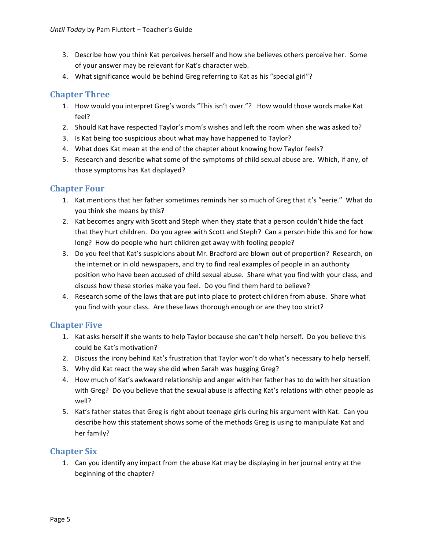- 3. Describe how you think Kat perceives herself and how she believes others perceive her. Some of your answer may be relevant for Kat's character web.
- 4. What significance would be behind Greg referring to Kat as his "special girl"?

#### **Chapter Three**

- 1. How would you interpret Greg's words "This isn't over."? How would those words make Kat feel?
- 2. Should Kat have respected Taylor's mom's wishes and left the room when she was asked to?
- 3. Is Kat being too suspicious about what may have happened to Taylor?
- 4. What does Kat mean at the end of the chapter about knowing how Taylor feels?
- 5. Research and describe what some of the symptoms of child sexual abuse are. Which, if any, of those symptoms has Kat displayed?

#### **Chapter Four**

- 1. Kat mentions that her father sometimes reminds her so much of Greg that it's "eerie." What do you think she means by this?
- 2. Kat becomes angry with Scott and Steph when they state that a person couldn't hide the fact that they hurt children. Do you agree with Scott and Steph? Can a person hide this and for how long? How do people who hurt children get away with fooling people?
- 3. Do you feel that Kat's suspicions about Mr. Bradford are blown out of proportion? Research, on the internet or in old newspapers, and try to find real examples of people in an authority position who have been accused of child sexual abuse. Share what you find with your class, and discuss how these stories make you feel. Do you find them hard to believe?
- 4. Research some of the laws that are put into place to protect children from abuse. Share what you find with your class. Are these laws thorough enough or are they too strict?

#### **Chapter Five**

- 1. Kat asks herself if she wants to help Taylor because she can't help herself. Do you believe this could be Kat's motivation?
- 2. Discuss the irony behind Kat's frustration that Taylor won't do what's necessary to help herself.
- 3. Why did Kat react the way she did when Sarah was hugging Greg?
- 4. How much of Kat's awkward relationship and anger with her father has to do with her situation with Greg? Do you believe that the sexual abuse is affecting Kat's relations with other people as well?
- 5. Kat's father states that Greg is right about teenage girls during his argument with Kat. Can you describe how this statement shows some of the methods Greg is using to manipulate Kat and her family?

#### **Chapter Six**

1. Can you identify any impact from the abuse Kat may be displaying in her journal entry at the beginning of the chapter?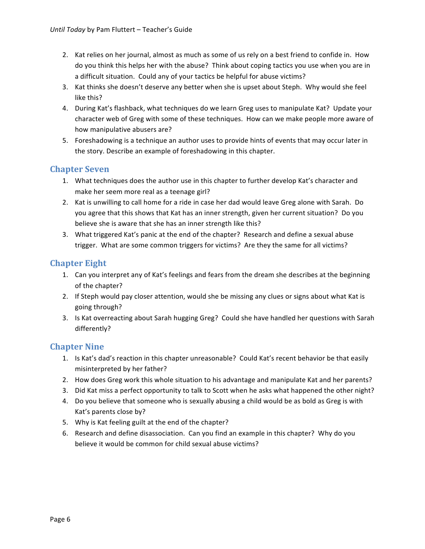- 2. Kat relies on her journal, almost as much as some of us rely on a best friend to confide in. How do you think this helps her with the abuse? Think about coping tactics you use when you are in a difficult situation. Could any of your tactics be helpful for abuse victims?
- 3. Kat thinks she doesn't deserve any better when she is upset about Steph. Why would she feel like this?
- 4. During Kat's flashback, what techniques do we learn Greg uses to manipulate Kat? Update your character web of Greg with some of these techniques. How can we make people more aware of how manipulative abusers are?
- 5. Foreshadowing is a technique an author uses to provide hints of events that may occur later in the story. Describe an example of foreshadowing in this chapter.

#### **Chapter Seven**

- 1. What techniques does the author use in this chapter to further develop Kat's character and make her seem more real as a teenage girl?
- 2. Kat is unwilling to call home for a ride in case her dad would leave Greg alone with Sarah. Do you agree that this shows that Kat has an inner strength, given her current situation? Do you believe she is aware that she has an inner strength like this?
- 3. What triggered Kat's panic at the end of the chapter? Research and define a sexual abuse trigger. What are some common triggers for victims? Are they the same for all victims?

#### **Chapter Eight**

- 1. Can you interpret any of Kat's feelings and fears from the dream she describes at the beginning of the chapter?
- 2. If Steph would pay closer attention, would she be missing any clues or signs about what Kat is going through?
- 3. Is Kat overreacting about Sarah hugging Greg? Could she have handled her questions with Sarah differently?

#### **Chapter Nine**

- 1. Is Kat's dad's reaction in this chapter unreasonable? Could Kat's recent behavior be that easily misinterpreted by her father?
- 2. How does Greg work this whole situation to his advantage and manipulate Kat and her parents?
- 3. Did Kat miss a perfect opportunity to talk to Scott when he asks what happened the other night?
- 4. Do you believe that someone who is sexually abusing a child would be as bold as Greg is with Kat's parents close by?
- 5. Why is Kat feeling guilt at the end of the chapter?
- 6. Research and define disassociation. Can you find an example in this chapter? Why do you believe it would be common for child sexual abuse victims?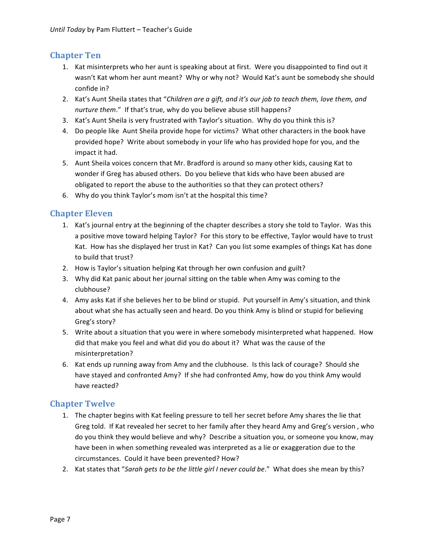#### **Chapter Ten**

- 1. Kat misinterprets who her aunt is speaking about at first. Were you disappointed to find out it wasn't Kat whom her aunt meant? Why or why not? Would Kat's aunt be somebody she should confide in?
- 2. Kat's Aunt Sheila states that "*Children are a gift, and it's our job to teach them, love them, and nurture them."* If that's true, why do you believe abuse still happens?
- 3. Kat's Aunt Sheila is very frustrated with Taylor's situation. Why do you think this is?
- 4. Do people like Aunt Sheila provide hope for victims? What other characters in the book have provided hope? Write about somebody in your life who has provided hope for you, and the impact it had.
- 5. Aunt Sheila voices concern that Mr. Bradford is around so many other kids, causing Kat to wonder if Greg has abused others. Do you believe that kids who have been abused are obligated to report the abuse to the authorities so that they can protect others?
- 6. Why do you think Taylor's mom isn't at the hospital this time?

#### **Chapter Eleven**

- 1. Kat's journal entry at the beginning of the chapter describes a story she told to Taylor. Was this a positive move toward helping Taylor? For this story to be effective, Taylor would have to trust Kat. How has she displayed her trust in Kat? Can you list some examples of things Kat has done to build that trust?
- 2. How is Taylor's situation helping Kat through her own confusion and guilt?
- 3. Why did Kat panic about her journal sitting on the table when Amy was coming to the clubhouse?
- 4. Amy asks Kat if she believes her to be blind or stupid. Put yourself in Amy's situation, and think about what she has actually seen and heard. Do you think Amy is blind or stupid for believing Greg's story?
- 5. Write about a situation that you were in where somebody misinterpreted what happened. How did that make you feel and what did you do about it? What was the cause of the misinterpretation?
- 6. Kat ends up running away from Amy and the clubhouse. Is this lack of courage? Should she have stayed and confronted Amy? If she had confronted Amy, how do you think Amy would have reacted?

#### **Chapter Twelve**

- 1. The chapter begins with Kat feeling pressure to tell her secret before Amy shares the lie that Greg told. If Kat revealed her secret to her family after they heard Amy and Greg's version, who do you think they would believe and why? Describe a situation you, or someone you know, may have been in when something revealed was interpreted as a lie or exaggeration due to the circumstances. Could it have been prevented? How?
- 2. Kat states that "Sarah gets to be the little girl I never could be." What does she mean by this?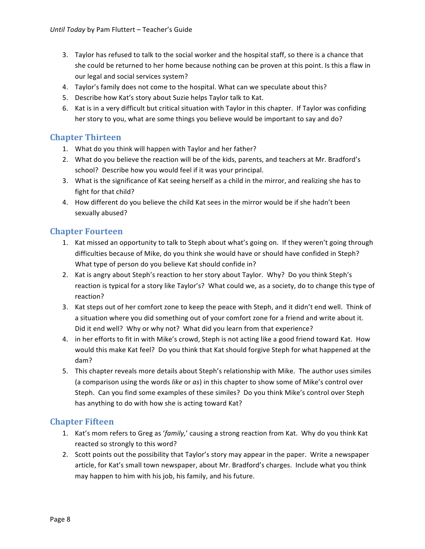- 3. Taylor has refused to talk to the social worker and the hospital staff, so there is a chance that she could be returned to her home because nothing can be proven at this point. Is this a flaw in our legal and social services system?
- 4. Taylor's family does not come to the hospital. What can we speculate about this?
- 5. Describe how Kat's story about Suzie helps Taylor talk to Kat.
- 6. Kat is in a very difficult but critical situation with Taylor in this chapter. If Taylor was confiding her story to you, what are some things you believe would be important to say and do?

#### **Chapter&Thirteen**

- 1. What do you think will happen with Taylor and her father?
- 2. What do you believe the reaction will be of the kids, parents, and teachers at Mr. Bradford's school? Describe how you would feel if it was your principal.
- 3. What is the significance of Kat seeing herself as a child in the mirror, and realizing she has to fight for that child?
- 4. How different do you believe the child Kat sees in the mirror would be if she hadn't been sexually abused?

#### **Chapter Fourteen**

- 1. Kat missed an opportunity to talk to Steph about what's going on. If they weren't going through difficulties because of Mike, do you think she would have or should have confided in Steph? What type of person do you believe Kat should confide in?
- 2. Kat is angry about Steph's reaction to her story about Taylor. Why? Do you think Steph's reaction is typical for a story like Taylor's? What could we, as a society, do to change this type of reaction?
- 3. Kat steps out of her comfort zone to keep the peace with Steph, and it didn't end well. Think of a situation where you did something out of your comfort zone for a friend and write about it. Did it end well? Why or why not? What did you learn from that experience?
- 4. in her efforts to fit in with Mike's crowd, Steph is not acting like a good friend toward Kat. How would this make Kat feel? Do you think that Kat should forgive Steph for what happened at the dam?
- 5. This chapter reveals more details about Steph's relationship with Mike. The author uses similes (a comparison using the words *like* or *as*) in this chapter to show some of Mike's control over Steph. Can you find some examples of these similes? Do you think Mike's control over Steph has anything to do with how she is acting toward Kat?

#### **Chapter Fifteen**

- 1. Kat's mom refers to Greg as '*family,*' causing a strong reaction from Kat. Why do you think Kat reacted so strongly to this word?
- 2. Scott points out the possibility that Taylor's story may appear in the paper. Write a newspaper article, for Kat's small town newspaper, about Mr. Bradford's charges. Include what you think may happen to him with his job, his family, and his future.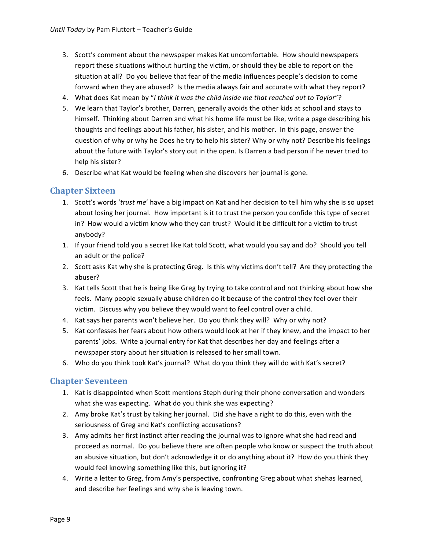- 3. Scott's comment about the newspaper makes Kat uncomfortable. How should newspapers report these situations without hurting the victim, or should they be able to report on the situation at all? Do you believe that fear of the media influences people's decision to come forward when they are abused? Is the media always fair and accurate with what they report?
- 4. What does Kat mean by "*I think it was the child inside me that reached out to Taylor*"?
- 5. We learn that Taylor's brother, Darren, generally avoids the other kids at school and stays to himself. Thinking about Darren and what his home life must be like, write a page describing his thoughts and feelings about his father, his sister, and his mother. In this page, answer the question of why or why he Does he try to help his sister? Why or why not? Describe his feelings about the future with Taylor's story out in the open. Is Darren a bad person if he never tried to help his sister?
- 6. Describe what Kat would be feeling when she discovers her journal is gone.

#### **Chapter Sixteen**

- 1. Scott's words '*trust me*' have a big impact on Kat and her decision to tell him why she is so upset about losing her journal. How important is it to trust the person you confide this type of secret in? How would a victim know who they can trust? Would it be difficult for a victim to trust anybody?
- 1. If your friend told you a secret like Kat told Scott, what would you say and do? Should you tell an adult or the police?
- 2. Scott asks Kat why she is protecting Greg. Is this why victims don't tell? Are they protecting the abuser?
- 3. Kat tells Scott that he is being like Greg by trying to take control and not thinking about how she feels. Many people sexually abuse children do it because of the control they feel over their victim. Discuss why you believe they would want to feel control over a child.
- 4. Kat says her parents won't believe her. Do you think they will? Why or why not?
- 5. Kat confesses her fears about how others would look at her if they knew, and the impact to her parents' jobs. Write a journal entry for Kat that describes her day and feelings after a newspaper story about her situation is released to her small town.
- 6. Who do you think took Kat's journal? What do you think they will do with Kat's secret?

#### **Chapter Seventeen**

- 1. Kat is disappointed when Scott mentions Steph during their phone conversation and wonders what she was expecting. What do you think she was expecting?
- 2. Amy broke Kat's trust by taking her journal. Did she have a right to do this, even with the seriousness of Greg and Kat's conflicting accusations?
- 3. Amy admits her first instinct after reading the journal was to ignore what she had read and proceed as normal. Do you believe there are often people who know or suspect the truth about an abusive situation, but don't acknowledge it or do anything about it? How do you think they would feel knowing something like this, but ignoring it?
- 4. Write a letter to Greg, from Amy's perspective, confronting Greg about what shehas learned, and describe her feelings and why she is leaving town.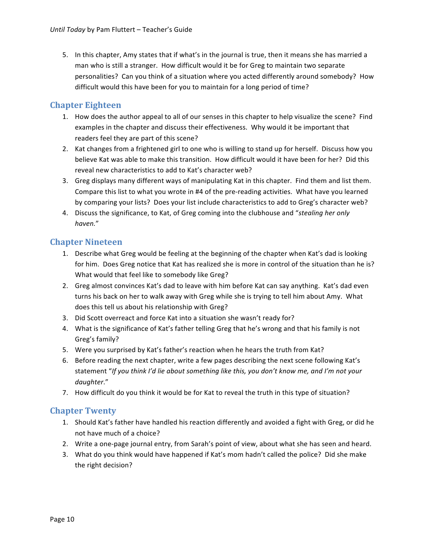5. In this chapter, Amy states that if what's in the journal is true, then it means she has married a man who is still a stranger. How difficult would it be for Greg to maintain two separate personalities? Can you think of a situation where you acted differently around somebody? How difficult would this have been for you to maintain for a long period of time?

#### **Chapter Eighteen**

- 1. How does the author appeal to all of our senses in this chapter to help visualize the scene? Find examples in the chapter and discuss their effectiveness. Why would it be important that readers feel they are part of this scene?
- 2. Kat changes from a frightened girl to one who is willing to stand up for herself. Discuss how you believe Kat was able to make this transition. How difficult would it have been for her? Did this reveal new characteristics to add to Kat's character web?
- 3. Greg displays many different ways of manipulating Kat in this chapter. Find them and list them. Compare this list to what you wrote in #4 of the pre-reading activities. What have you learned by comparing your lists? Does your list include characteristics to add to Greg's character web?
- 4. Discuss the significance, to Kat, of Greg coming into the clubhouse and "*stealing her only haven.*"

#### **Chapter Nineteen**

- 1. Describe what Greg would be feeling at the beginning of the chapter when Kat's dad is looking for him. Does Greg notice that Kat has realized she is more in control of the situation than he is? What would that feel like to somebody like Greg?
- 2. Greg almost convinces Kat's dad to leave with him before Kat can say anything. Kat's dad even turns his back on her to walk away with Greg while she is trying to tell him about Amy. What does this tell us about his relationship with Greg?
- 3. Did Scott overreact and force Kat into a situation she wasn't ready for?
- 4. What is the significance of Kat's father telling Greg that he's wrong and that his family is not Greg's family?
- 5. Were you surprised by Kat's father's reaction when he hears the truth from Kat?
- 6. Before reading the next chapter, write a few pages describing the next scene following Kat's statement "If you think I'd lie about something like this, you don't know me, and I'm not your *daughter*."
- 7. How difficult do you think it would be for Kat to reveal the truth in this type of situation?

#### **Chapter Twenty**

- 1. Should Kat's father have handled his reaction differently and avoided a fight with Greg, or did he not have much of a choice?
- 2. Write a one-page journal entry, from Sarah's point of view, about what she has seen and heard.
- 3. What do you think would have happened if Kat's mom hadn't called the police? Did she make the right decision?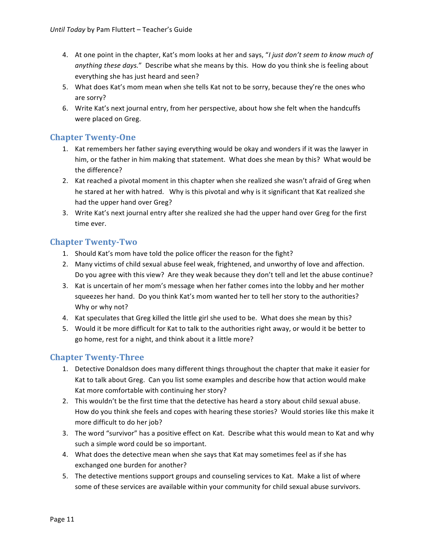- 4. At one point in the chapter, Kat's mom looks at her and says, "*I just don't seem to know much of anything these days."* Describe what she means by this. How do you think she is feeling about everything she has just heard and seen?
- 5. What does Kat's mom mean when she tells Kat not to be sorry, because they're the ones who are sorry?
- 6. Write Kat's next journal entry, from her perspective, about how she felt when the handcuffs were placed on Greg.

#### **Chapter Twenty-One**

- 1. Kat remembers her father saying everything would be okay and wonders if it was the lawyer in him, or the father in him making that statement. What does she mean by this? What would be the difference?
- 2. Kat reached a pivotal moment in this chapter when she realized she wasn't afraid of Greg when he stared at her with hatred. Why is this pivotal and why is it significant that Kat realized she had the upper hand over Greg?
- 3. Write Kat's next journal entry after she realized she had the upper hand over Greg for the first time ever.

#### **Chapter Twenty-Two**

- 1. Should Kat's mom have told the police officer the reason for the fight?
- 2. Many victims of child sexual abuse feel weak, frightened, and unworthy of love and affection. Do you agree with this view? Are they weak because they don't tell and let the abuse continue?
- 3. Kat is uncertain of her mom's message when her father comes into the lobby and her mother squeezes her hand. Do you think Kat's mom wanted her to tell her story to the authorities? Why or why not?
- 4. Kat speculates that Greg killed the little girl she used to be. What does she mean by this?
- 5. Would it be more difficult for Kat to talk to the authorities right away, or would it be better to go home, rest for a night, and think about it a little more?

### **Chapter Twenty-Three**

- 1. Detective Donaldson does many different things throughout the chapter that make it easier for Kat to talk about Greg. Can you list some examples and describe how that action would make Kat more comfortable with continuing her story?
- 2. This wouldn't be the first time that the detective has heard a story about child sexual abuse. How do you think she feels and copes with hearing these stories? Would stories like this make it more difficult to do her job?
- 3. The word "survivor" has a positive effect on Kat. Describe what this would mean to Kat and why such a simple word could be so important.
- 4. What does the detective mean when she says that Kat may sometimes feel as if she has exchanged one burden for another?
- 5. The detective mentions support groups and counseling services to Kat. Make a list of where some of these services are available within your community for child sexual abuse survivors.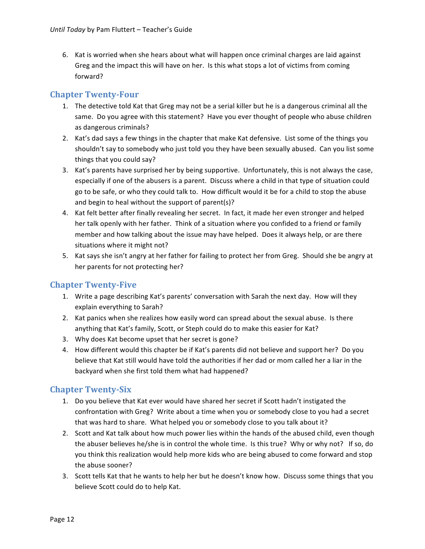6. Kat is worried when she hears about what will happen once criminal charges are laid against Greg and the impact this will have on her. Is this what stops a lot of victims from coming forward?

#### **Chapter Twenty-Four**

- 1. The detective told Kat that Greg may not be a serial killer but he is a dangerous criminal all the same. Do you agree with this statement? Have you ever thought of people who abuse children as dangerous criminals?
- 2. Kat's dad says a few things in the chapter that make Kat defensive. List some of the things you shouldn't say to somebody who just told you they have been sexually abused. Can you list some things that you could say?
- 3. Kat's parents have surprised her by being supportive. Unfortunately, this is not always the case, especially if one of the abusers is a parent. Discuss where a child in that type of situation could go to be safe, or who they could talk to. How difficult would it be for a child to stop the abuse and begin to heal without the support of parent(s)?
- 4. Kat felt better after finally revealing her secret. In fact, it made her even stronger and helped her talk openly with her father. Think of a situation where you confided to a friend or family member and how talking about the issue may have helped. Does it always help, or are there situations where it might not?
- 5. Kat says she isn't angry at her father for failing to protect her from Greg. Should she be angry at her parents for not protecting her?

#### **Chapter Twenty-Five**

- 1. Write a page describing Kat's parents' conversation with Sarah the next day. How will they explain everything to Sarah?
- 2. Kat panics when she realizes how easily word can spread about the sexual abuse. Is there anything that Kat's family, Scott, or Steph could do to make this easier for Kat?
- 3. Why does Kat become upset that her secret is gone?
- 4. How different would this chapter be if Kat's parents did not believe and support her? Do you believe that Kat still would have told the authorities if her dad or mom called her a liar in the backyard when she first told them what had happened?

#### **Chapter Twenty-Six**

- 1. Do you believe that Kat ever would have shared her secret if Scott hadn't instigated the confrontation with Greg? Write about a time when you or somebody close to you had a secret that was hard to share. What helped you or somebody close to you talk about it?
- 2. Scott and Kat talk about how much power lies within the hands of the abused child, even though the abuser believes he/she is in control the whole time. Is this true? Why or why not? If so, do you think this realization would help more kids who are being abused to come forward and stop the abuse sooner?
- 3. Scott tells Kat that he wants to help her but he doesn't know how. Discuss some things that you believe Scott could do to help Kat.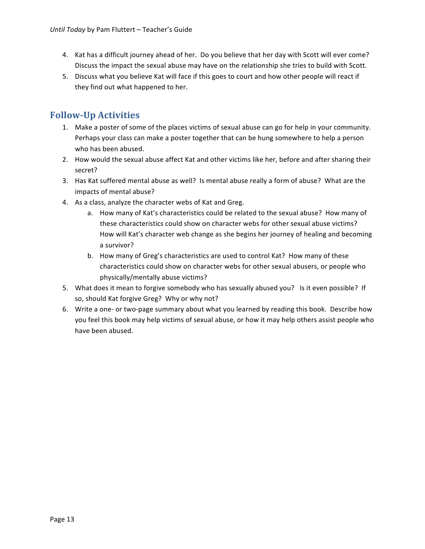- 4. Kat has a difficult journey ahead of her. Do you believe that her day with Scott will ever come? Discuss the impact the sexual abuse may have on the relationship she tries to build with Scott.
- 5. Discuss what you believe Kat will face if this goes to court and how other people will react if they find out what happened to her.

# **Follow:Up&Activities**

- 1. Make a poster of some of the places victims of sexual abuse can go for help in your community. Perhaps your class can make a poster together that can be hung somewhere to help a person who has been abused.
- 2. How would the sexual abuse affect Kat and other victims like her, before and after sharing their secret?
- 3. Has Kat suffered mental abuse as well? Is mental abuse really a form of abuse? What are the impacts of mental abuse?
- 4. As a class, analyze the character webs of Kat and Greg.
	- a. How many of Kat's characteristics could be related to the sexual abuse? How many of these characteristics could show on character webs for other sexual abuse victims? How will Kat's character web change as she begins her journey of healing and becoming a survivor?
	- b. How many of Greg's characteristics are used to control Kat? How many of these characteristics could show on character webs for other sexual abusers, or people who physically/mentally abuse victims?
- 5. What does it mean to forgive somebody who has sexually abused you? Is it even possible? If so, should Kat forgive Greg? Why or why not?
- 6. Write a one- or two-page summary about what you learned by reading this book. Describe how you feel this book may help victims of sexual abuse, or how it may help others assist people who have been abused.